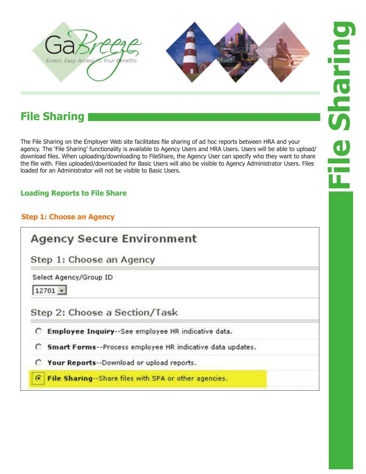



# **File Sharing**

The File Sharing on the Employer Web site facilitates file sharing of ad hoc reports between HRA and your agency. The 'File Sharing' functionality is available to Agency Users and HRA Users. Users will be able to upload/ download files. When uploading/downloading to FileShare, the Agency User can specify who they want to share the file with. Files uploaded/downloaded for Basic Users will also be visible to Agency Administrator Users. Files loaded for an Administrator will not be visible to Basic Users.

## **Loading Reports to File Share**

## **Step 1: Choose an Agency**

## **Agency Secure Environment**

Step 1: Choose an Agency

Select Agency/Group ID

 $12701 -$ 

Step 2: Choose a Section/Task

C Employee Inquiry -- See employee HR indicative data.

C Smart Forms--Process employee HR indicative data updates.

Your Reports -- Download or upload reports.  $\circ$ 

File Sharing -- Share files with SPA or other agencies.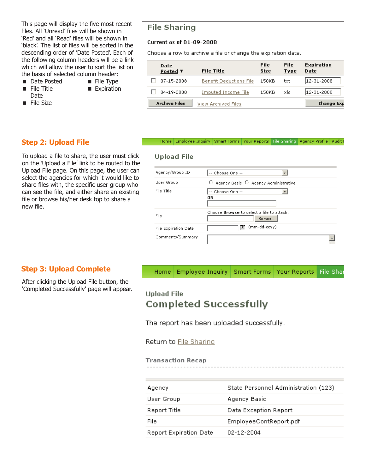This page will display the five most recent files. All 'Unread' files will be shown in 'Red' and all 'Read' files will be shown in 'black'. The list of files will be sorted in the descending order of 'Date Posted'. Each of the following column headers will be a link which will allow the user to sort the list on the basis of selected column header:

- Date Posted File Type
- File Title Expiration Date
- **File Size**

# **Step 2: Upload File**

To upload a file to share, the user must click on the 'Upload a File' link to be routed to the Upload File page. On this page, the user can select the agencies for which it would like to share files with, the specific user group who can see the file, and either share an existing file or browse his/her desk top to share a new file.

## **File Sharing**

#### Current as of 01-09-2008

Choose a row to archive a file or change the expiration date.

| <u>Date</u><br>Posted ▼ | <b>File Title</b>              | File<br>Size | <b>File</b><br><b>Type</b> | <b>Expiration</b><br>Date |
|-------------------------|--------------------------------|--------------|----------------------------|---------------------------|
| 07-15-2008              | <b>Benefit Deductions File</b> | 150KB        | txt                        | 12-31-2008                |
| 04-19-2008              | Imputed Income File            | 150KB        | xls.                       | 12-31-2008                |
| <b>Archive Files</b>    | View Archived Files            |              |                            | Change Exp                |

### Home | Employee Inquiry | Smart Forms | Your Reports | File Sharing | Agency Profile | Audit I **Upload File** Agency/Group ID -- Choose One -- $\overline{\phantom{a}}$

| User Group           | C Agency Basic C Agency Administrative           |
|----------------------|--------------------------------------------------|
| File Title           | -- Choose One --                                 |
|                      | 0R.                                              |
|                      |                                                  |
|                      | Choose <b>Browse</b> to select a file to attach. |
| File                 | Browse                                           |
| File Expiration Date | 喧<br>(mm-dd-ccyy)                                |
|                      |                                                  |

### **Step 3: Upload Complete**

After clicking the Upload File button, the 'Completed Successfully' page will appear.

| Home:                                               | Employee Inquiry   Smart Forms   Your Reports   File Shar |                                      |  |  |  |  |  |
|-----------------------------------------------------|-----------------------------------------------------------|--------------------------------------|--|--|--|--|--|
| <b>Upload File</b><br><b>Completed Successfully</b> |                                                           |                                      |  |  |  |  |  |
| The report has been uploaded successfully.          |                                                           |                                      |  |  |  |  |  |
| Return to File Sharing                              |                                                           |                                      |  |  |  |  |  |
| <b>Transaction Recap</b>                            |                                                           |                                      |  |  |  |  |  |
|                                                     |                                                           |                                      |  |  |  |  |  |
| Agency                                              |                                                           | State Personnel Administration (123) |  |  |  |  |  |
| User Group                                          |                                                           | Agency Basic                         |  |  |  |  |  |
| Report Title                                        |                                                           | Data Exception Report                |  |  |  |  |  |
| File                                                |                                                           | EmployeeContReport.pdf               |  |  |  |  |  |
|                                                     | <b>Report Expiration Date</b>                             | 02-12-2004                           |  |  |  |  |  |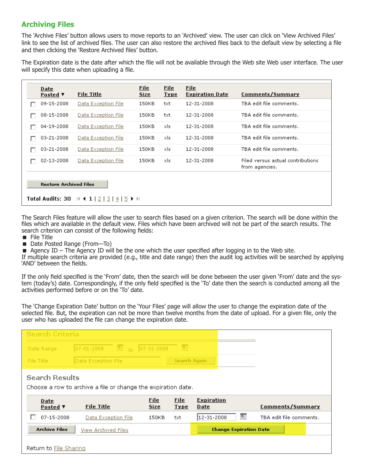## **Archiving Files**

The 'Archive Files' button allows users to move reports to an 'Archived' view. The user can click on 'View Archived Files' link to see the list of archived files. The user can also restore the archived files back to the default view by selecting a file and then clicking the 'Restore Archived files' button.

The Expiration date is the date after which the file will not be available through the Web site Web user interface. The user will specify this date when uploading a file.

|   | <b>Date</b><br>Posted ▼                                                                                               | <b>File Title</b>   | File<br><b>Size</b> | <b>File</b><br><b>Type</b> | File<br><b>Expiration Date</b> | Comments/Summary                                    |  |
|---|-----------------------------------------------------------------------------------------------------------------------|---------------------|---------------------|----------------------------|--------------------------------|-----------------------------------------------------|--|
|   | 09-15-2008                                                                                                            | Data Exception File | 150KB               | txt                        | 12-31-2008                     | TBA edit file comments.                             |  |
|   | 08-15-2008                                                                                                            | Data Exception File | 150KB               | txt                        | 12-31-2008                     | TBA edit file comments.                             |  |
|   | 04-19-2008                                                                                                            | Data Exception File | 150KB               | xls                        | 12-31-2008                     | TBA edit file comments.                             |  |
|   | 03-21-2008                                                                                                            | Data Exception File | 150KB               | xls                        | 12-31-2008                     | TBA edit file comments.                             |  |
|   | 03-21-2008                                                                                                            | Data Exception File | 150KB               | xls                        | 12-31-2008                     | TBA edit file comments.                             |  |
| г | 02-13-2008                                                                                                            | Data Exception File | 150KB               | xls.                       | 12-31-2008                     | Filed versus actual contributions<br>from agencies. |  |
|   | <b>Restore Archived Files</b><br>Total Audits: 30 $\mathbb{N}$ 4 1   2   3   4   5 $\blacktriangleright$ $\mathbb{N}$ |                     |                     |                            |                                |                                                     |  |

The Search Files feature will allow the user to search files based on a given criterion. The search will be done within the files which are available in the default view. Files which have been archived will not be part of the search results. The search criterion can consist of the following fields:

- $\blacksquare$  File Title
- Date Posted Range (From-To)
- $\blacksquare$  Agency ID The Agency ID will be the one which the user specified after logging in to the Web site.

If multiple search criteria are provided (e.g., title and date range) then the audit log activities will be searched by applying 'AND' between the fields.

If the only field specified is the 'From' date, then the search will be done between the user given 'From' date and the system (today's) date. Correspondingly, if the only field specified is the 'To' date then the search is conducted among all the activities performed before or on the 'To' date.

The 'Change Expiration Date' button on the 'Your Files' page will allow the user to change the expiration date of the selected file. But, the expiration can not be more than twelve months from the date of upload. For a given file, only the user who has uploaded the file can change the expiration date.

| Search Criteria       |                                                               |                    |                     |                               |                         |
|-----------------------|---------------------------------------------------------------|--------------------|---------------------|-------------------------------|-------------------------|
| Date Range            | <sup>直</sup> to<br>07-01-2008                                 | $ 07 - 31 - 2008 $ | 画                   |                               |                         |
| File Title            | Data Exception File                                           |                    | <b>Search Again</b> |                               |                         |
| <b>Search Results</b> | Choose a row to archive a file or change the expiration date. |                    |                     |                               |                         |
| <b>Date</b>           |                                                               | <b>File</b>        | <b>File</b>         | <b>Expiration</b>             |                         |
| Posted ▼              | <b>File Title</b>                                             | <b>Size</b>        | <b>Type</b>         | <b>Date</b>                   | <b>Comments/Summary</b> |
| 07-15-2008            | Data Exception File                                           | 150KB              | txt                 | 首<br>12-31-2008               | TBA edit file comments. |
| <b>Archive Files</b>  | View Archived Files                                           |                    |                     | <b>Change Expiration Date</b> |                         |